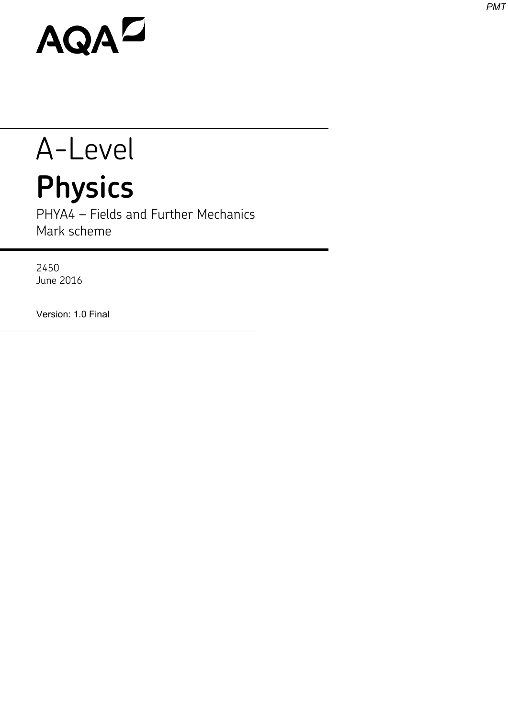## AQAD

## A-Level **Physics**

PHYA4 – Fields and Further Mechanics Mark scheme

2450 June 2016

Version: 1.0 Final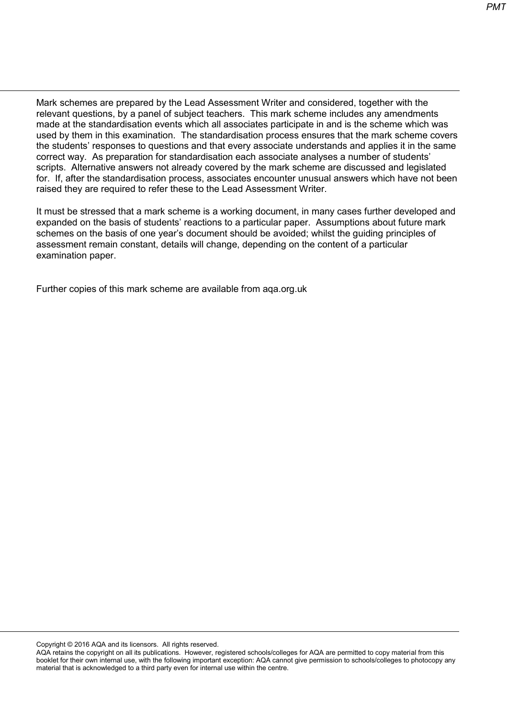Mark schemes are prepared by the Lead Assessment Writer and considered, together with the relevant questions, by a panel of subject teachers. This mark scheme includes any amendments made at the standardisation events which all associates participate in and is the scheme which was used by them in this examination. The standardisation process ensures that the mark scheme covers the students' responses to questions and that every associate understands and applies it in the same correct way. As preparation for standardisation each associate analyses a number of students' scripts. Alternative answers not already covered by the mark scheme are discussed and legislated for. If, after the standardisation process, associates encounter unusual answers which have not been raised they are required to refer these to the Lead Assessment Writer.

It must be stressed that a mark scheme is a working document, in many cases further developed and expanded on the basis of students' reactions to a particular paper. Assumptions about future mark schemes on the basis of one year's document should be avoided; whilst the guiding principles of assessment remain constant, details will change, depending on the content of a particular examination paper.

Further copies of this mark scheme are available from aqa.org.uk

Copyright © 2016 AQA and its licensors. All rights reserved.

AQA retains the copyright on all its publications. However, registered schools/colleges for AQA are permitted to copy material from this booklet for their own internal use, with the following important exception: AQA cannot give permission to schools/colleges to photocopy any material that is acknowledged to a third party even for internal use within the centre.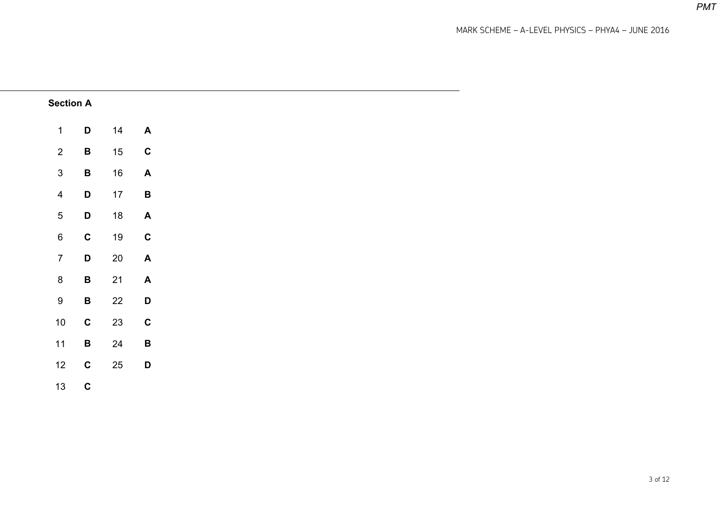MARK SCHEME – A-LEVEL PHYSICS – PHYA4 – JUNE 2016

*PMT*

| <b>Section A</b> |                 |        |                           |
|------------------|-----------------|--------|---------------------------|
| $\mathbf{1}$     | D               | 14     | $\mathbf{A}$              |
| $\overline{2}$   | $\, {\bf B}$    | 15     | $\mathbf C$               |
| $\mathfrak{S}$   | $\, {\bf B}$    | 16     | $\blacktriangle$          |
| $\overline{4}$   | $\mathsf D$     | 17     | $\, {\bf B}$              |
| $\sqrt{5}$       | $\mathsf D$     | 18     | $\blacktriangle$          |
| $\,6\,$          | $\mathbf C$     | $19$   | $\mathbf C$               |
| $\overline{7}$   | $\mathbf D$     | $20\,$ | $\boldsymbol{\mathsf{A}}$ |
| $\bf 8$          | $\, {\bf B}$    | 21     | $\boldsymbol{\mathsf{A}}$ |
| $\boldsymbol{9}$ | $\, {\bf B} \,$ | 22     | D                         |
| $10\,$           | $\mathbf C$     | $23\,$ | $\mathbf C$               |
| $11$             | $\, {\bf B} \,$ | $24\,$ | $\, {\bf B}$              |
| 12               | $\mathbf C$     | $25\,$ | D                         |
| 13               | $\mathbf C$     |        |                           |

of 12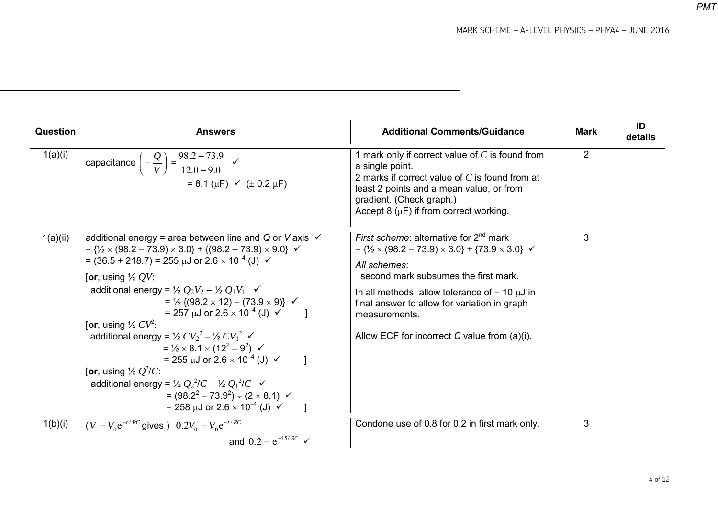MARK SCHEME – A-LEVEL PHYSICS – PHYA4 – JUNE 2016

| Question | <b>Answers</b>                                                                                                                                                                                                                                                                                                                                                                                                                                                                                                                                                                                                                                                                                                                                                                                                                                                                                                                                                                                                                              | <b>Additional Comments/Guidance</b>                                                                                                                                                                                                                                                                                                                                       | <b>Mark</b>    | ID<br>details |
|----------|---------------------------------------------------------------------------------------------------------------------------------------------------------------------------------------------------------------------------------------------------------------------------------------------------------------------------------------------------------------------------------------------------------------------------------------------------------------------------------------------------------------------------------------------------------------------------------------------------------------------------------------------------------------------------------------------------------------------------------------------------------------------------------------------------------------------------------------------------------------------------------------------------------------------------------------------------------------------------------------------------------------------------------------------|---------------------------------------------------------------------------------------------------------------------------------------------------------------------------------------------------------------------------------------------------------------------------------------------------------------------------------------------------------------------------|----------------|---------------|
| 1(a)(i)  | capacitance $\left( = \frac{Q}{V} \right) = \frac{98.2 - 73.9}{12.0 - 9.0}$ $\checkmark$<br>= 8.1 ( $\mu$ F) $\checkmark$ ( $\pm$ 0.2 $\mu$ F)                                                                                                                                                                                                                                                                                                                                                                                                                                                                                                                                                                                                                                                                                                                                                                                                                                                                                              | 1 mark only if correct value of $C$ is found from<br>a single point.<br>2 marks if correct value of $C$ is found from at<br>least 2 points and a mean value, or from<br>gradient. (Check graph.)<br>Accept 8 ( $\mu$ F) if from correct working.                                                                                                                          | $\overline{2}$ |               |
| 1(a)(ii) | additional energy = area between line and Q or V axis $\checkmark$<br>$= \frac{1}{2} \times (98.2 - 73.9) \times 3.0 + \{(98.2 - 73.9) \times 9.0\}$ $\checkmark$<br>= $(36.5 + 218.7)$ = 255 $\mu$ J or 2.6 $\times$ 10 <sup>-4</sup> (J) $\checkmark$<br>[or, using $\frac{1}{2}$ QV:<br>additional energy = $\frac{1}{2}Q_2V_2 - \frac{1}{2}Q_1V_1$ $\checkmark$<br>= $\frac{1}{2}$ {(98.2 × 12) – (73.9 × 9)} $\checkmark$<br>$= 257 \text{ }\mu\text{J}$ or $2.6 \times 10^{-4} \text{ }\text{--}10 \times 10^{-4} \text{ }\text{--}100$<br>[or, using $\frac{1}{2}CV^2$ :<br>additional energy = $\frac{1}{2}CV_2^2 - \frac{1}{2}CV_1^2 \checkmark$<br>$=$ $\frac{1}{2} \times 8.1 \times (12^2 - 9^2)$ $\checkmark$<br>= 255 $\mu$ J or 2.6 $\times$ 10 <sup>-4</sup> (J) $\checkmark$<br>[or, using $\frac{1}{2}Q^2/C$ :<br>additional energy = $\frac{1}{2} Q_2^2/C - \frac{1}{2} Q_1^2/C \checkmark$<br>= $(98.2^2 - 73.9^2) \div (2 \times 8.1)$ $\checkmark$<br>= 258 $\mu$ J or 2.6 $\times$ 10 <sup>-4</sup> (J) $\checkmark$ | <i>First scheme:</i> alternative for $2^{nd}$ mark<br>= $\{1/2 \times (98.2 - 73.9) \times 3.0\}$ + $\{73.9 \times 3.0\}$ $\checkmark$<br>All schemes:<br>second mark subsumes the first mark.<br>In all methods, allow tolerance of $\pm$ 10 $\mu$ J in<br>final answer to allow for variation in graph<br>measurements.<br>Allow ECF for incorrect C value from (a)(i). | 3              |               |
| 1(b)(i)  | $(V = V_0 e^{-t/RC}$ gives $0.2V_0 = V_0 e^{-t/RC}$                                                                                                                                                                                                                                                                                                                                                                                                                                                                                                                                                                                                                                                                                                                                                                                                                                                                                                                                                                                         | Condone use of 0.8 for 0.2 in first mark only.                                                                                                                                                                                                                                                                                                                            | 3              |               |
|          | and $0.2 = e^{-45/RC}$ $\checkmark$                                                                                                                                                                                                                                                                                                                                                                                                                                                                                                                                                                                                                                                                                                                                                                                                                                                                                                                                                                                                         |                                                                                                                                                                                                                                                                                                                                                                           |                |               |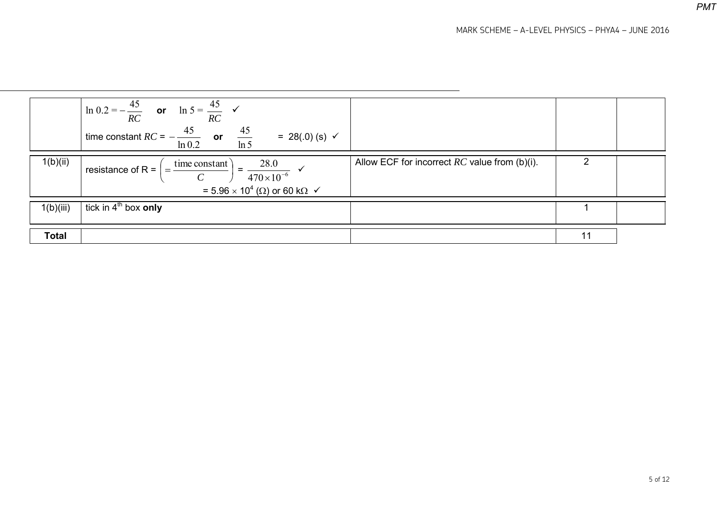|              | $\ln 0.2 = -\frac{45}{RC}$ or $\ln 5 = \frac{45}{RC}$ $\checkmark$<br>time constant $RC = -\frac{45}{\ln 0.2}$ or $\frac{45}{\ln 5}$<br>= 28(.0) (s) $\checkmark$             |                                                 |  |
|--------------|-------------------------------------------------------------------------------------------------------------------------------------------------------------------------------|-------------------------------------------------|--|
| 1(b)(ii)     | $= \frac{28.0}{470 \times 10^{-6}}$<br>$\frac{1}{2}$ = time constant<br>resistance of R = $\vert$<br>= 5.96 $\times$ 10 <sup>4</sup> ( $\Omega$ ) or 60 k $\Omega \checkmark$ | Allow ECF for incorrect $RC$ value from (b)(i). |  |
| 1(b)(iii)    | tick in $4^{\text{th}}$ box only                                                                                                                                              |                                                 |  |
| <b>Total</b> |                                                                                                                                                                               |                                                 |  |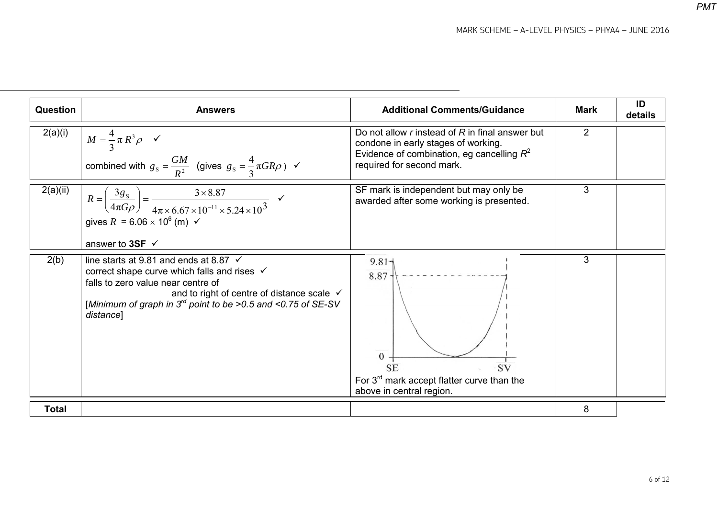| Question     | <b>Answers</b>                                                                                                                                                                                                                                                         | <b>Additional Comments/Guidance</b>                                                                                                                                 | <b>Mark</b>    | ID<br>details |
|--------------|------------------------------------------------------------------------------------------------------------------------------------------------------------------------------------------------------------------------------------------------------------------------|---------------------------------------------------------------------------------------------------------------------------------------------------------------------|----------------|---------------|
| 2(a)(i)      | $M = \frac{4}{3} \pi R^3 \rho \quad \checkmark$<br>combined with $g_s = \frac{GM}{R^2}$ (gives $g_s = \frac{4}{3} \pi G R \rho$ ) $\checkmark$                                                                                                                         | Do not allow r instead of R in final answer but<br>condone in early stages of working.<br>Evidence of combination, eg cancelling $R^2$<br>required for second mark. | $\overline{2}$ |               |
| 2(a)(ii)     | $R = \left(\frac{3g_s}{4\pi G\rho}\right) = \frac{3 \times 8.87}{4\pi \times 6.67 \times 10^{-11} \times 5.24 \times 10^3}$<br>gives $R = 6.06 \times 10^6$ (m) $\checkmark$<br>answer to 3SF $\checkmark$                                                             | SF mark is independent but may only be<br>awarded after some working is presented.                                                                                  | 3              |               |
| 2(b)         | line starts at 9.81 and ends at 8.87 $\checkmark$<br>correct shape curve which falls and rises √<br>falls to zero value near centre of<br>and to right of centre of distance scale √<br>[Minimum of graph in $3^{rd}$ point to be >0.5 and <0.75 of SE-SV<br>distance] | $9.81 -$<br>$8.87 +$<br>$\Omega$<br><b>SV</b><br><b>SE</b><br>For $3^{rd}$ mark accept flatter curve than the<br>above in central region.                           | 3              |               |
| <b>Total</b> |                                                                                                                                                                                                                                                                        |                                                                                                                                                                     | 8              |               |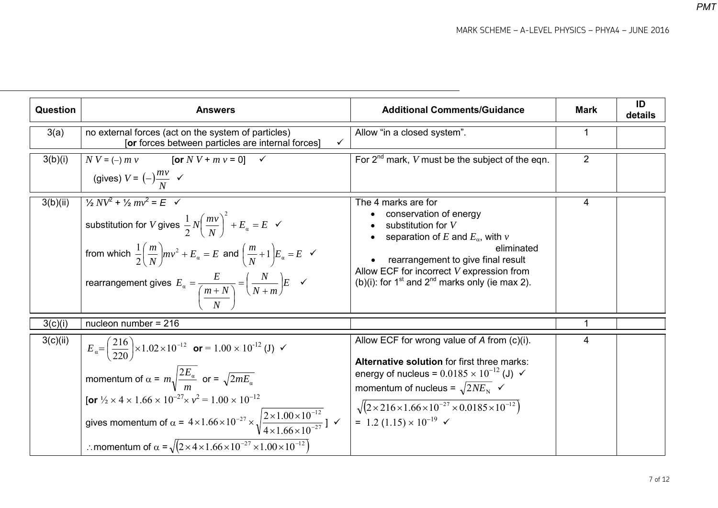| <b>Question</b> | <b>Answers</b>                                                                                                                                                                                                                                                                                                                                                                                                                                                                                                                                     | <b>Additional Comments/Guidance</b>                                                                                                                                                                                                                                                                                                                       | <b>Mark</b>    | ID<br>details |
|-----------------|----------------------------------------------------------------------------------------------------------------------------------------------------------------------------------------------------------------------------------------------------------------------------------------------------------------------------------------------------------------------------------------------------------------------------------------------------------------------------------------------------------------------------------------------------|-----------------------------------------------------------------------------------------------------------------------------------------------------------------------------------------------------------------------------------------------------------------------------------------------------------------------------------------------------------|----------------|---------------|
| 3(a)            | no external forces (act on the system of particles)<br>$\checkmark$<br>[or forces between particles are internal forces]                                                                                                                                                                                                                                                                                                                                                                                                                           | Allow "in a closed system".                                                                                                                                                                                                                                                                                                                               | $\mathbf 1$    |               |
| 3(b)(i)         | $N V = (-) m v$<br>[or $N V + m v = 0$ ]<br>$\checkmark$<br>(gives) $V = (-)\frac{mv}{N}$ $\checkmark$                                                                                                                                                                                                                                                                                                                                                                                                                                             | For $2^{nd}$ mark, V must be the subject of the eqn.                                                                                                                                                                                                                                                                                                      | $\overline{2}$ |               |
| 3(b)(ii)        | $\frac{1}{2}NV^2 + \frac{1}{2}mv^2 = E \quad \checkmark$<br>substitution for V gives $\frac{1}{2}N\left(\frac{mv}{N}\right)^2 + E_\alpha = E \ \ \checkmark$<br>from which $\frac{1}{2}\left(\frac{m}{N}\right)mv^2 + E_\alpha = E$ and $\left(\frac{m}{N} + 1\right)E_\alpha = E \quad \checkmark$<br>rearrangement gives $E_a = \frac{E}{\left(\frac{m+N}{N}\right)} = \left(\frac{N}{N+m}\right)E \quad \checkmark$                                                                                                                             | The 4 marks are for<br>conservation of energy<br>substitution for V<br>separation of E and $E_{\alpha}$ , with v<br>eliminated<br>rearrangement to give final result<br>Allow ECF for incorrect $V$ expression from<br>(b)(i): for 1 <sup>st</sup> and 2 <sup>nd</sup> marks only (ie max 2).                                                             | 4              |               |
| 3(c)(i)         | nucleon number = $216$                                                                                                                                                                                                                                                                                                                                                                                                                                                                                                                             |                                                                                                                                                                                                                                                                                                                                                           | 1              |               |
| 3(c)(ii)        | $E_{\alpha} = \left(\frac{216}{220}\right) \times 1.02 \times 10^{-12}$ or = 1.00 × 10 <sup>-12</sup> (J) $\checkmark$<br>momentum of $\alpha = m \sqrt{\frac{2E_a}{m}}$ or = $\sqrt{2mE_a}$<br>[or $\frac{1}{2} \times 4 \times 1.66 \times 10^{-27} \times v^2 = 1.00 \times 10^{-12}$<br>gives momentum of $\alpha = 4 \times 1.66 \times 10^{-27} \times \sqrt{\frac{2 \times 1.00 \times 10^{-12}}{4 \times 1.66 \times 10^{-27}}}$ ]<br>: momentum of $\alpha = \sqrt{(2 \times 4 \times 1.66 \times 10^{-27} \times 1.00 \times 10^{-12})}$ | Allow ECF for wrong value of A from (c)(i).<br>Alternative solution for first three marks:<br>energy of nucleus = $0.0185 \times 10^{-12}$ (J) $\checkmark$<br>momentum of nucleus = $\sqrt{2NE_{\rm N}}$ $\checkmark$<br>$\sqrt{(2\times216\times1.66\times10^{-27}\times0.0185\times10^{-12})}$<br>= 1.2 (1.15) $\times$ 10 <sup>-19</sup> $\checkmark$ | 4              |               |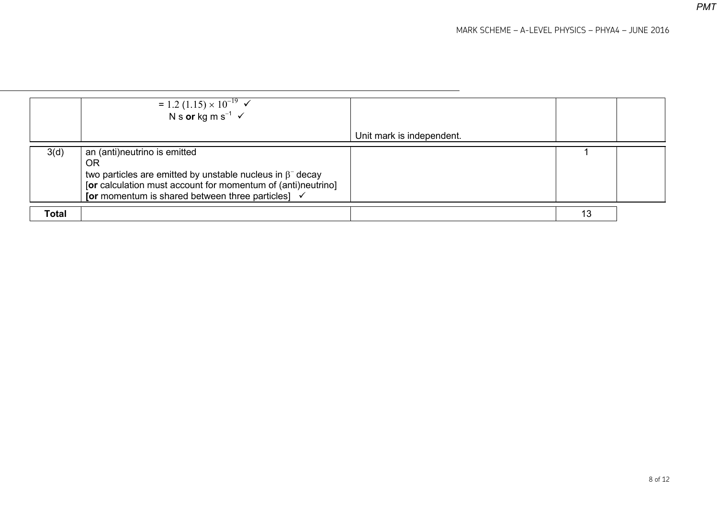|       | = 1.2 (1.15) × $10^{-19}$ $\checkmark$<br>N s or kg m s <sup>-1</sup> $\checkmark$                                                                                                                                                     |                           |    |  |
|-------|----------------------------------------------------------------------------------------------------------------------------------------------------------------------------------------------------------------------------------------|---------------------------|----|--|
|       |                                                                                                                                                                                                                                        | Unit mark is independent. |    |  |
| 3(d)  | an (anti)neutrino is emitted<br>ΟR<br>two particles are emitted by unstable nucleus in $\beta^-$ decay<br>[or calculation must account for momentum of (anti)neutrino]<br>[or momentum is shared between three particles] $\checkmark$ |                           |    |  |
| Total |                                                                                                                                                                                                                                        |                           | 13 |  |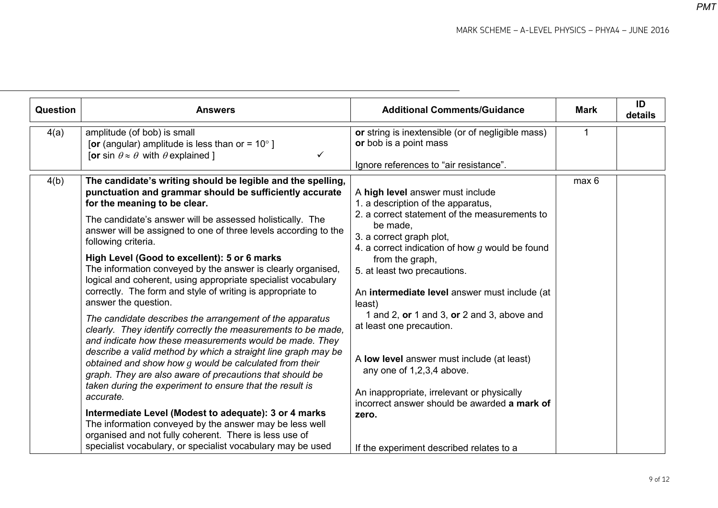| Question | <b>Answers</b>                                                                                                                                                                                                                                                                                                                                                                                                                                                                                                                                                                                                                                                                                                                                                                                                                                                                                                                                                                                                                                                                                                                                                                                                                                                                              | <b>Additional Comments/Guidance</b>                                                                                                                                                                                                                                                                                                                                                                                                                                                                                                                                                                                                            | <b>Mark</b> | ID<br>details |
|----------|---------------------------------------------------------------------------------------------------------------------------------------------------------------------------------------------------------------------------------------------------------------------------------------------------------------------------------------------------------------------------------------------------------------------------------------------------------------------------------------------------------------------------------------------------------------------------------------------------------------------------------------------------------------------------------------------------------------------------------------------------------------------------------------------------------------------------------------------------------------------------------------------------------------------------------------------------------------------------------------------------------------------------------------------------------------------------------------------------------------------------------------------------------------------------------------------------------------------------------------------------------------------------------------------|------------------------------------------------------------------------------------------------------------------------------------------------------------------------------------------------------------------------------------------------------------------------------------------------------------------------------------------------------------------------------------------------------------------------------------------------------------------------------------------------------------------------------------------------------------------------------------------------------------------------------------------------|-------------|---------------|
| 4(a)     | amplitude (of bob) is small<br>[or (angular) amplitude is less than or = $10^{\circ}$ ]<br>[or sin $\theta \approx \theta$ with $\theta$ explained ]                                                                                                                                                                                                                                                                                                                                                                                                                                                                                                                                                                                                                                                                                                                                                                                                                                                                                                                                                                                                                                                                                                                                        | or string is inextensible (or of negligible mass)<br>or bob is a point mass<br>Ignore references to "air resistance".                                                                                                                                                                                                                                                                                                                                                                                                                                                                                                                          |             |               |
| 4(b)     | The candidate's writing should be legible and the spelling,<br>punctuation and grammar should be sufficiently accurate<br>for the meaning to be clear.<br>The candidate's answer will be assessed holistically. The<br>answer will be assigned to one of three levels according to the<br>following criteria.<br>High Level (Good to excellent): 5 or 6 marks<br>The information conveyed by the answer is clearly organised,<br>logical and coherent, using appropriate specialist vocabulary<br>correctly. The form and style of writing is appropriate to<br>answer the question.<br>The candidate describes the arrangement of the apparatus<br>clearly. They identify correctly the measurements to be made,<br>and indicate how these measurements would be made. They<br>describe a valid method by which a straight line graph may be<br>obtained and show how $g$ would be calculated from their<br>graph. They are also aware of precautions that should be<br>taken during the experiment to ensure that the result is<br>accurate.<br>Intermediate Level (Modest to adequate): 3 or 4 marks<br>The information conveyed by the answer may be less well<br>organised and not fully coherent. There is less use of<br>specialist vocabulary, or specialist vocabulary may be used | A high level answer must include<br>1. a description of the apparatus,<br>2. a correct statement of the measurements to<br>be made,<br>3. a correct graph plot,<br>4. a correct indication of how $g$ would be found<br>from the graph,<br>5. at least two precautions.<br>An intermediate level answer must include (at<br>least)<br>1 and 2, $or$ 1 and 3, $or$ 2 and 3, above and<br>at least one precaution.<br>A low level answer must include (at least)<br>any one of 1,2,3,4 above.<br>An inappropriate, irrelevant or physically<br>incorrect answer should be awarded a mark of<br>zero.<br>If the experiment described relates to a | max 6       |               |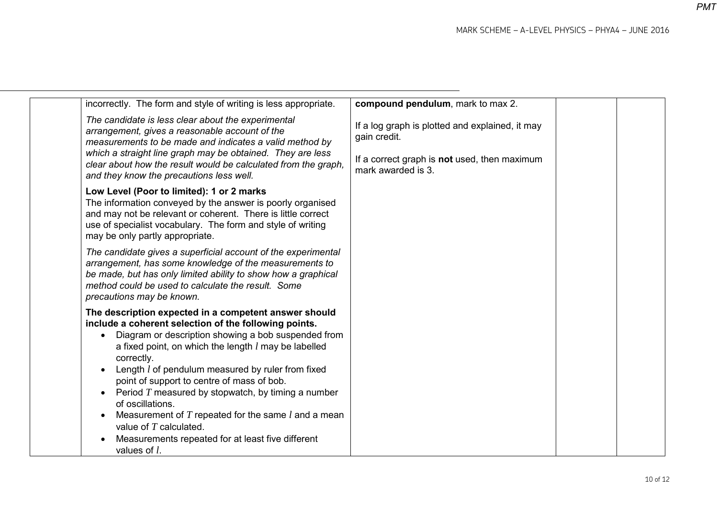| incorrectly. The form and style of writing is less appropriate.                                                                                                                                                                                                                                                                                                                                                                                                                                                                                                                                                              | compound pendulum, mark to max 2.                                                                                                     |  |
|------------------------------------------------------------------------------------------------------------------------------------------------------------------------------------------------------------------------------------------------------------------------------------------------------------------------------------------------------------------------------------------------------------------------------------------------------------------------------------------------------------------------------------------------------------------------------------------------------------------------------|---------------------------------------------------------------------------------------------------------------------------------------|--|
| The candidate is less clear about the experimental<br>arrangement, gives a reasonable account of the<br>measurements to be made and indicates a valid method by<br>which a straight line graph may be obtained. They are less<br>clear about how the result would be calculated from the graph,<br>and they know the precautions less well.                                                                                                                                                                                                                                                                                  | If a log graph is plotted and explained, it may<br>gain credit.<br>If a correct graph is not used, then maximum<br>mark awarded is 3. |  |
| Low Level (Poor to limited): 1 or 2 marks<br>The information conveyed by the answer is poorly organised<br>and may not be relevant or coherent. There is little correct<br>use of specialist vocabulary. The form and style of writing<br>may be only partly appropriate.                                                                                                                                                                                                                                                                                                                                                    |                                                                                                                                       |  |
| The candidate gives a superficial account of the experimental<br>arrangement, has some knowledge of the measurements to<br>be made, but has only limited ability to show how a graphical<br>method could be used to calculate the result. Some<br>precautions may be known.                                                                                                                                                                                                                                                                                                                                                  |                                                                                                                                       |  |
| The description expected in a competent answer should<br>include a coherent selection of the following points.<br>Diagram or description showing a bob suspended from<br>$\bullet$<br>a fixed point, on which the length $l$ may be labelled<br>correctly.<br>Length <i>l</i> of pendulum measured by ruler from fixed<br>point of support to centre of mass of bob.<br>Period $T$ measured by stopwatch, by timing a number<br>$\bullet$<br>of oscillations.<br>Measurement of $T$ repeated for the same $l$ and a mean<br>value of $T$ calculated.<br>Measurements repeated for at least five different<br>values of $l$ . |                                                                                                                                       |  |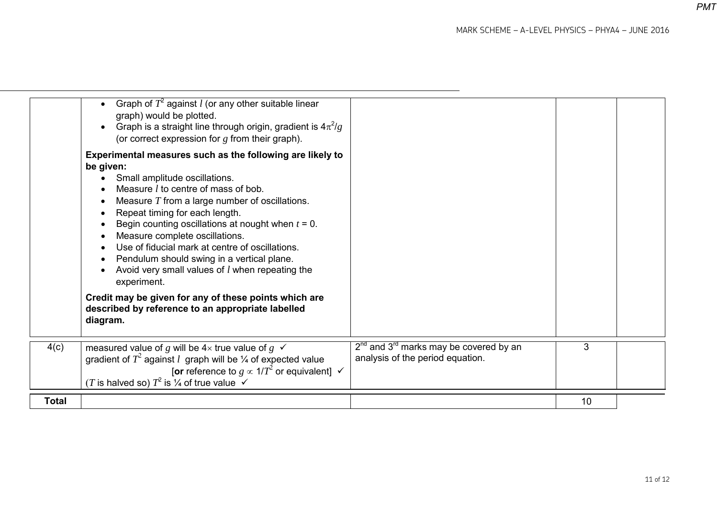|              | Graph of $T^2$ against <i>l</i> (or any other suitable linear<br>graph) would be plotted.<br>Graph is a straight line through origin, gradient is $4\pi^2/g$<br>$\bullet$<br>(or correct expression for $g$ from their graph).<br>Experimental measures such as the following are likely to<br>be given:<br>Small amplitude oscillations.<br>Measure <i>l</i> to centre of mass of bob.<br>Measure $T$ from a large number of oscillations.<br>Repeat timing for each length.<br>Begin counting oscillations at nought when $t = 0$ .<br>Measure complete oscillations.<br>Use of fiducial mark at centre of oscillations.<br>Pendulum should swing in a vertical plane.<br>Avoid very small values of <i>l</i> when repeating the<br>experiment.<br>Credit may be given for any of these points which are<br>described by reference to an appropriate labelled<br>diagram. |                                                                                |    |  |
|--------------|-----------------------------------------------------------------------------------------------------------------------------------------------------------------------------------------------------------------------------------------------------------------------------------------------------------------------------------------------------------------------------------------------------------------------------------------------------------------------------------------------------------------------------------------------------------------------------------------------------------------------------------------------------------------------------------------------------------------------------------------------------------------------------------------------------------------------------------------------------------------------------|--------------------------------------------------------------------------------|----|--|
|              |                                                                                                                                                                                                                                                                                                                                                                                                                                                                                                                                                                                                                                                                                                                                                                                                                                                                             |                                                                                |    |  |
| 4(c)         | measured value of g will be $4\times$ true value of $g \checkmark$<br>gradient of $T^2$ against l graph will be $\frac{1}{4}$ of expected value<br>[or reference to $g \propto 1/T^2$ or equivalent] $\checkmark$<br>(T is halved so) $T^2$ is $\frac{1}{4}$ of true value $\checkmark$                                                                                                                                                                                                                                                                                                                                                                                                                                                                                                                                                                                     | $2nd$ and $3rd$ marks may be covered by an<br>analysis of the period equation. | 3  |  |
| <b>Total</b> |                                                                                                                                                                                                                                                                                                                                                                                                                                                                                                                                                                                                                                                                                                                                                                                                                                                                             |                                                                                | 10 |  |